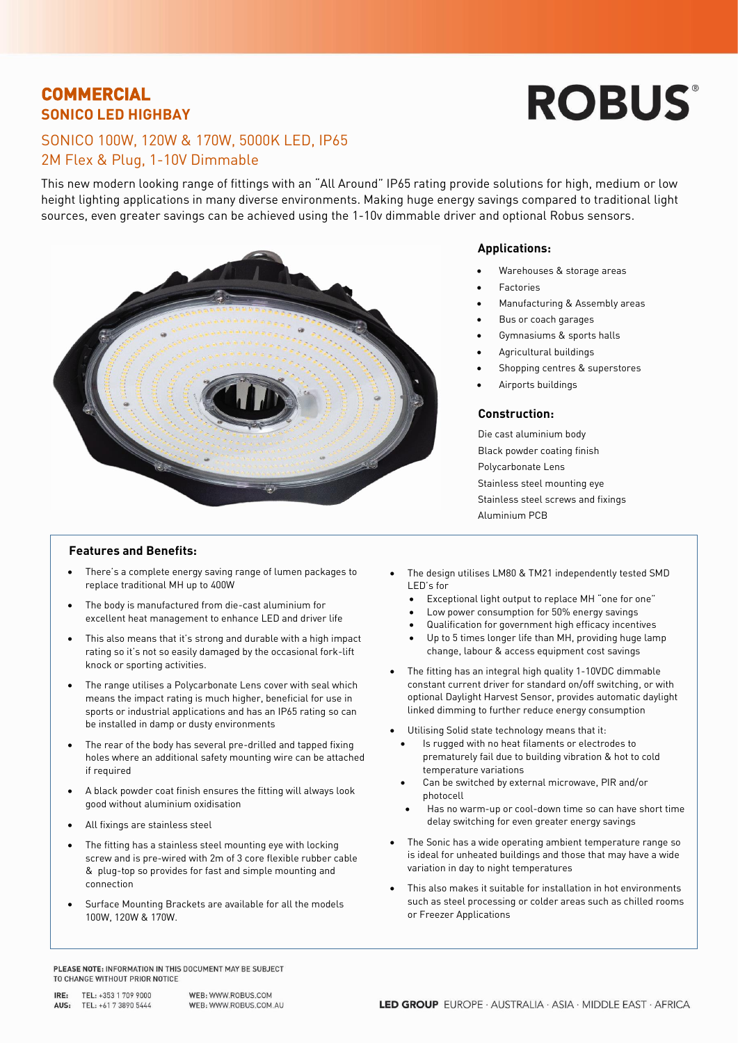## **COMMERCIAL SONICO LED HIGHBAY**

# **ROBUS®**

## SONICO 100W, 120W & 170W, 5000K LED, IP65 2M Flex & Plug, 1-10V Dimmable

This new modern looking range of fittings with an "All Around" IP65 rating provide solutions for high, medium or low height lighting applications in many diverse environments. Making huge energy savings compared to traditional light sources, even greater savings can be achieved using the 1-10v dimmable driver and optional Robus sensors.



## **Applications:**

- Warehouses & storage areas
- **Factories**
- Manufacturing & Assembly areas
- Bus or coach garages
- Gymnasiums & sports halls
- Agricultural buildings
- Shopping centres & superstores
- Airports buildings

### **Construction:**

Die cast aluminium body Black powder coating finish Polycarbonate Lens Stainless steel mounting eye Stainless steel screws and fixings Aluminium PCB

### **Features and Benefits:**

- There's a complete energy saving range of lumen packages to replace traditional MH up to 400W
- The body is manufactured from die-cast aluminium for excellent heat management to enhance LED and driver life
- This also means that it's strong and durable with a high impact rating so it's not so easily damaged by the occasional fork-lift knock or sporting activities.
- The range utilises a Polycarbonate Lens cover with seal which means the impact rating is much higher, beneficial for use in sports or industrial applications and has an IP65 rating so can be installed in damp or dusty environments
- The rear of the body has several pre-drilled and tapped fixing holes where an additional safety mounting wire can be attached if required
- A black powder coat finish ensures the fitting will always look good without aluminium oxidisation
- All fixings are stainless steel
- The fitting has a stainless steel mounting eye with locking screw and is pre-wired with 2m of 3 core flexible rubber cable & plug-top so provides for fast and simple mounting and connection
- Surface Mounting Brackets are available for all the models 100W, 120W & 170W.
- The design utilises LM80 & TM21 independently tested SMD LED's for
	- Exceptional light output to replace MH "one for one"
	- Low power consumption for 50% energy savings
	- Qualification for government high efficacy incentives
	- Up to 5 times longer life than MH, providing huge lamp change, labour & access equipment cost savings
- The fitting has an integral high quality 1-10VDC dimmable constant current driver for standard on/off switching, or with optional Daylight Harvest Sensor, provides automatic daylight linked dimming to further reduce energy consumption
- Utilising Solid state technology means that it:
	- Is rugged with no heat filaments or electrodes to prematurely fail due to building vibration & hot to cold temperature variations
	- Can be switched by external microwave, PIR and/or photocell
	- Has no warm-up or cool-down time so can have short time delay switching for even greater energy savings
- The Sonic has a wide operating ambient temperature range so is ideal for unheated buildings and those that may have a wide variation in day to night temperatures
- This also makes it suitable for installation in hot environments such as steel processing or colder areas such as chilled rooms or Freezer Applications

PLEASE NOTE: INFORMATION IN THIS DOCUMENT MAY BE SUBJECT TO CHANGE WITHOUT PRIOR NOTICE